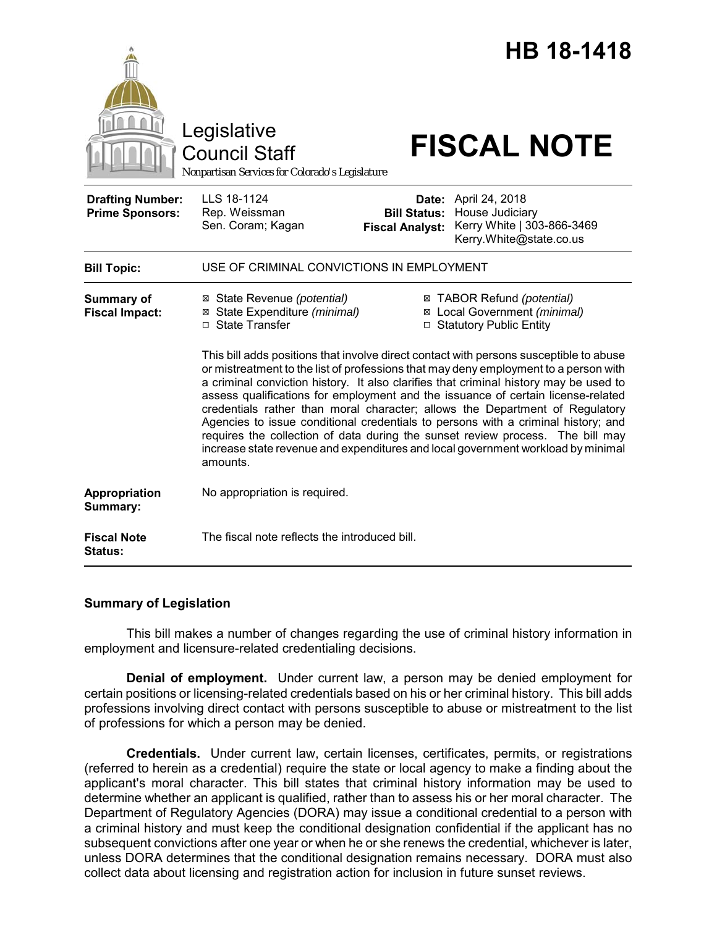|                                                   | Legislative<br><b>Council Staff</b>                                                                                                                                                                                                                                                                                                                                                                                                                                                                                                                                                                                                                                                                                |                                               | <b>HB 18-1418</b><br><b>FISCAL NOTE</b>                                                                 |
|---------------------------------------------------|--------------------------------------------------------------------------------------------------------------------------------------------------------------------------------------------------------------------------------------------------------------------------------------------------------------------------------------------------------------------------------------------------------------------------------------------------------------------------------------------------------------------------------------------------------------------------------------------------------------------------------------------------------------------------------------------------------------------|-----------------------------------------------|---------------------------------------------------------------------------------------------------------|
|                                                   | Nonpartisan Services for Colorado's Legislature                                                                                                                                                                                                                                                                                                                                                                                                                                                                                                                                                                                                                                                                    |                                               |                                                                                                         |
| <b>Drafting Number:</b><br><b>Prime Sponsors:</b> | LLS 18-1124<br>Rep. Weissman<br>Sen. Coram; Kagan                                                                                                                                                                                                                                                                                                                                                                                                                                                                                                                                                                                                                                                                  | <b>Bill Status:</b><br><b>Fiscal Analyst:</b> | <b>Date:</b> April 24, 2018<br>House Judiciary<br>Kerry White   303-866-3469<br>Kerry.White@state.co.us |
| <b>Bill Topic:</b>                                | USE OF CRIMINAL CONVICTIONS IN EMPLOYMENT                                                                                                                                                                                                                                                                                                                                                                                                                                                                                                                                                                                                                                                                          |                                               |                                                                                                         |
| <b>Summary of</b><br><b>Fiscal Impact:</b>        | ⊠ State Revenue (potential)<br>State Expenditure (minimal)<br>⊠<br>□ State Transfer                                                                                                                                                                                                                                                                                                                                                                                                                                                                                                                                                                                                                                |                                               | ⊠ TABOR Refund (potential)<br>⊠ Local Government (minimal)<br>□ Statutory Public Entity                 |
|                                                   | This bill adds positions that involve direct contact with persons susceptible to abuse<br>or mistreatment to the list of professions that may deny employment to a person with<br>a criminal conviction history. It also clarifies that criminal history may be used to<br>assess qualifications for employment and the issuance of certain license-related<br>credentials rather than moral character; allows the Department of Regulatory<br>Agencies to issue conditional credentials to persons with a criminal history; and<br>requires the collection of data during the sunset review process. The bill may<br>increase state revenue and expenditures and local government workload by minimal<br>amounts. |                                               |                                                                                                         |
| Appropriation<br>Summary:                         | No appropriation is required.                                                                                                                                                                                                                                                                                                                                                                                                                                                                                                                                                                                                                                                                                      |                                               |                                                                                                         |
| <b>Fiscal Note</b><br><b>Status:</b>              | The fiscal note reflects the introduced bill.                                                                                                                                                                                                                                                                                                                                                                                                                                                                                                                                                                                                                                                                      |                                               |                                                                                                         |

### **Summary of Legislation**

This bill makes a number of changes regarding the use of criminal history information in employment and licensure-related credentialing decisions.

**Denial of employment.** Under current law, a person may be denied employment for certain positions or licensing-related credentials based on his or her criminal history. This bill adds professions involving direct contact with persons susceptible to abuse or mistreatment to the list of professions for which a person may be denied.

**Credentials.** Under current law, certain licenses, certificates, permits, or registrations (referred to herein as a credential) require the state or local agency to make a finding about the applicant's moral character. This bill states that criminal history information may be used to determine whether an applicant is qualified, rather than to assess his or her moral character. The Department of Regulatory Agencies (DORA) may issue a conditional credential to a person with a criminal history and must keep the conditional designation confidential if the applicant has no subsequent convictions after one year or when he or she renews the credential, whichever is later, unless DORA determines that the conditional designation remains necessary. DORA must also collect data about licensing and registration action for inclusion in future sunset reviews.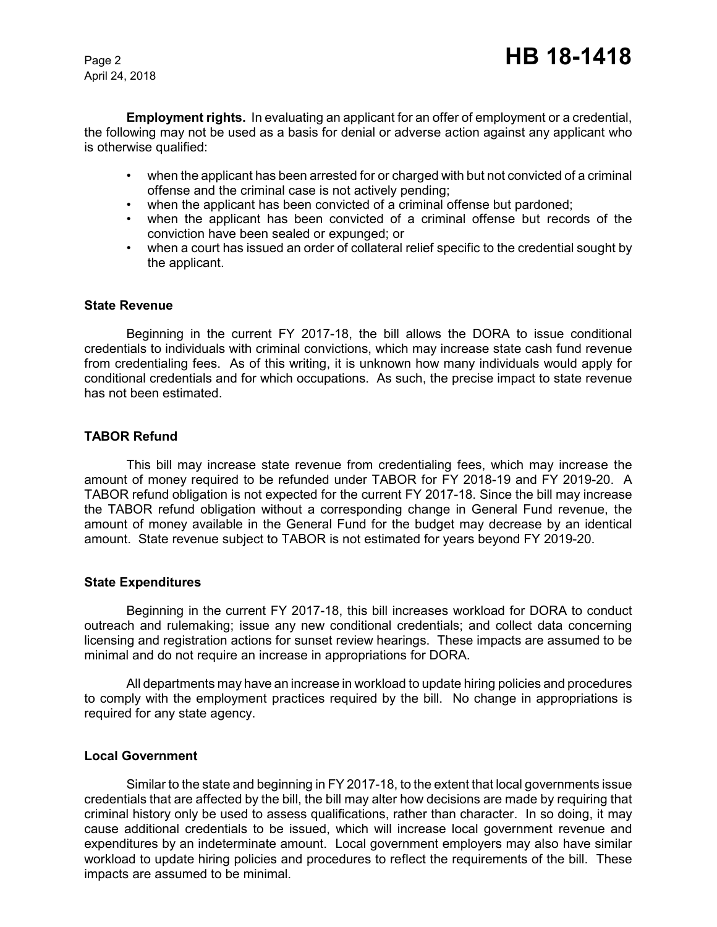April 24, 2018

**Employment rights.** In evaluating an applicant for an offer of employment or a credential, the following may not be used as a basis for denial or adverse action against any applicant who is otherwise qualified:

- when the applicant has been arrested for or charged with but not convicted of a criminal offense and the criminal case is not actively pending;
- when the applicant has been convicted of a criminal offense but pardoned;
- when the applicant has been convicted of a criminal offense but records of the conviction have been sealed or expunged; or
- when a court has issued an order of collateral relief specific to the credential sought by the applicant.

#### **State Revenue**

Beginning in the current FY 2017-18, the bill allows the DORA to issue conditional credentials to individuals with criminal convictions, which may increase state cash fund revenue from credentialing fees. As of this writing, it is unknown how many individuals would apply for conditional credentials and for which occupations. As such, the precise impact to state revenue has not been estimated.

### **TABOR Refund**

This bill may increase state revenue from credentialing fees, which may increase the amount of money required to be refunded under TABOR for FY 2018-19 and FY 2019-20. A TABOR refund obligation is not expected for the current FY 2017-18. Since the bill may increase the TABOR refund obligation without a corresponding change in General Fund revenue, the amount of money available in the General Fund for the budget may decrease by an identical amount. State revenue subject to TABOR is not estimated for years beyond FY 2019-20.

### **State Expenditures**

Beginning in the current FY 2017-18, this bill increases workload for DORA to conduct outreach and rulemaking; issue any new conditional credentials; and collect data concerning licensing and registration actions for sunset review hearings. These impacts are assumed to be minimal and do not require an increase in appropriations for DORA.

All departments may have an increase in workload to update hiring policies and procedures to comply with the employment practices required by the bill. No change in appropriations is required for any state agency.

### **Local Government**

Similar to the state and beginning in FY 2017-18, to the extent that local governments issue credentials that are affected by the bill, the bill may alter how decisions are made by requiring that criminal history only be used to assess qualifications, rather than character. In so doing, it may cause additional credentials to be issued, which will increase local government revenue and expenditures by an indeterminate amount. Local government employers may also have similar workload to update hiring policies and procedures to reflect the requirements of the bill. These impacts are assumed to be minimal.